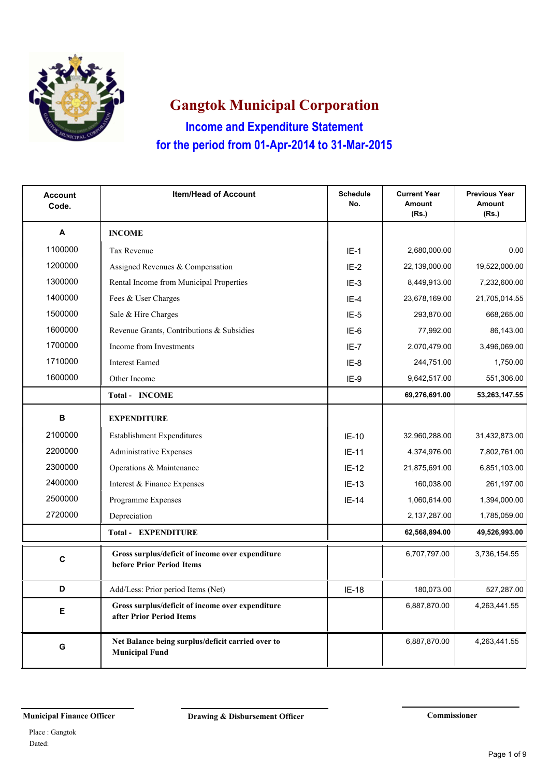

**Income and Expenditure Statement Gangtok Municipal Corporation for the period from 01-Apr-2014 to 31-Mar-2015**

| <b>Account</b><br>Code. | <b>Item/Head of Account</b>                                                   | <b>Schedule</b><br>No. | <b>Current Year</b><br><b>Amount</b><br>(Rs.) | <b>Previous Year</b><br>Amount<br>(Rs.) |
|-------------------------|-------------------------------------------------------------------------------|------------------------|-----------------------------------------------|-----------------------------------------|
| A                       | <b>INCOME</b>                                                                 |                        |                                               |                                         |
| 1100000                 | <b>Tax Revenue</b>                                                            | $IE-1$                 | 2,680,000.00                                  | 0.00                                    |
| 1200000                 | Assigned Revenues & Compensation                                              | $IE-2$                 | 22,139,000.00                                 | 19,522,000.00                           |
| 1300000                 | Rental Income from Municipal Properties                                       | $IE-3$                 | 8,449,913.00                                  | 7,232,600.00                            |
| 1400000                 | Fees & User Charges                                                           | $IE-4$                 | 23,678,169.00                                 | 21,705,014.55                           |
| 1500000                 | Sale & Hire Charges                                                           | $IE-5$                 | 293,870.00                                    | 668,265.00                              |
| 1600000                 | Revenue Grants, Contributions & Subsidies                                     | IE-6                   | 77,992.00                                     | 86,143.00                               |
| 1700000                 | Income from Investments                                                       | $IE-7$                 | 2,070,479.00                                  | 3,496,069.00                            |
| 1710000                 | <b>Interest Earned</b>                                                        | IE-8                   | 244,751.00                                    | 1,750.00                                |
| 1600000                 | Other Income                                                                  | IE-9                   | 9,642,517.00                                  | 551,306.00                              |
|                         | <b>Total - INCOME</b>                                                         |                        | 69,276,691.00                                 | 53,263,147.55                           |
| B                       | <b>EXPENDITURE</b>                                                            |                        |                                               |                                         |
| 2100000                 | <b>Establishment Expenditures</b>                                             | $IE-10$                | 32,960,288.00                                 | 31,432,873.00                           |
| 2200000                 | Administrative Expenses                                                       | $IE-11$                | 4,374,976.00                                  | 7,802,761.00                            |
| 2300000                 | Operations & Maintenance                                                      | $IE-12$                | 21,875,691.00                                 | 6,851,103.00                            |
| 2400000                 | Interest & Finance Expenses                                                   | $IE-13$                | 160,038.00                                    | 261,197.00                              |
| 2500000                 | Programme Expenses                                                            | $IE-14$                | 1,060,614.00                                  | 1,394,000.00                            |
| 2720000                 | Depreciation                                                                  |                        | 2,137,287.00                                  | 1,785,059.00                            |
|                         | <b>Total - EXPENDITURE</b>                                                    |                        | 62,568,894.00                                 | 49,526,993.00                           |
| C                       | Gross surplus/deficit of income over expenditure<br>before Prior Period Items |                        | 6,707,797.00                                  | 3,736,154.55                            |
| D                       | Add/Less: Prior period Items (Net)                                            | IE-18                  | 180,073.00                                    | 527,287.00                              |
| E                       | Gross surplus/deficit of income over expenditure<br>after Prior Period Items  |                        | 6,887,870.00                                  | 4,263,441.55                            |
| G                       | Net Balance being surplus/deficit carried over to<br><b>Municipal Fund</b>    |                        | 6,887,870.00                                  | 4,263,441.55                            |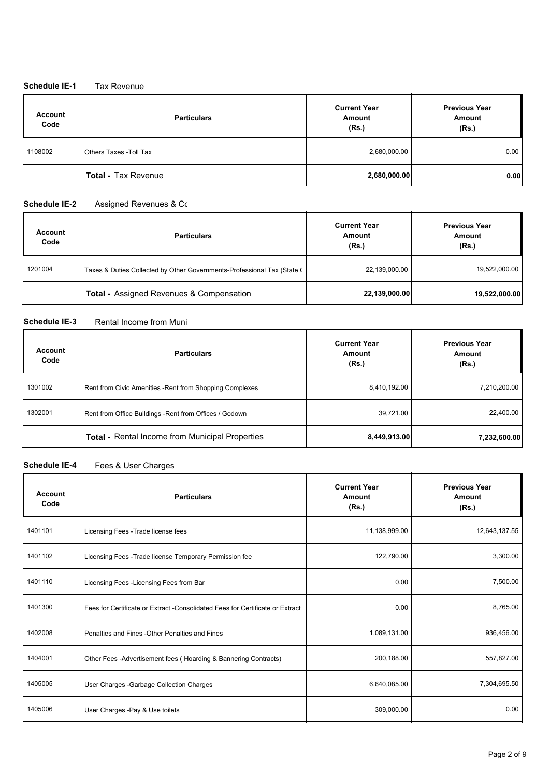### **Schedule IE-1** Tax Revenue

| <b>Account</b><br>Code | <b>Particulars</b>         | <b>Current Year</b><br>Amount<br>(Rs.) | <b>Previous Year</b><br>Amount<br>(Rs.) |
|------------------------|----------------------------|----------------------------------------|-----------------------------------------|
| 1108002                | Others Taxes - Toll Tax    | 2,680,000.00                           | 0.00                                    |
|                        | <b>Total - Tax Revenue</b> | 2,680,000.00                           | 0.00                                    |

#### **Schedule IE-2** Assigned Revenues & Competence

| <b>Account</b><br>Code | <b>Particulars</b>                                                      | <b>Current Year</b><br>Amount<br>(Rs.) | <b>Previous Year</b><br>Amount<br>(Rs.) |
|------------------------|-------------------------------------------------------------------------|----------------------------------------|-----------------------------------------|
| 1201004                | Taxes & Duties Collected by Other Governments-Professional Tax (State C | 22,139,000.00                          | 19,522,000.00                           |
|                        | <b>Total - Assigned Revenues &amp; Compensation</b>                     | 22,139,000.00                          | 19,522,000.00                           |

### **Schedule IE-3** Rental Income from Muni

| <b>Account</b><br>Code | <b>Particulars</b>                                       | <b>Current Year</b><br>Amount<br>(Rs.) | <b>Previous Year</b><br>Amount<br>(Rs.) |
|------------------------|----------------------------------------------------------|----------------------------------------|-----------------------------------------|
| 1301002                | Rent from Civic Amenities - Rent from Shopping Complexes | 8,410,192.00                           | 7,210,200.00                            |
| 1302001                | Rent from Office Buildings - Rent from Offices / Godown  | 39,721.00                              | 22,400.00                               |
|                        | <b>Total - Rental Income from Municipal Properties</b>   | 8,449,913.00                           | 7,232,600.00                            |

## **Schedule IE-4** Fees & User Charges

| <b>Account</b><br>Code | <b>Particulars</b>                                                             | <b>Current Year</b><br>Amount<br>(Rs.) | <b>Previous Year</b><br>Amount<br>(Rs.) |
|------------------------|--------------------------------------------------------------------------------|----------------------------------------|-----------------------------------------|
| 1401101                | Licensing Fees - Trade license fees                                            | 11,138,999.00                          | 12,643,137.55                           |
| 1401102                | Licensing Fees - Trade license Temporary Permission fee                        | 122,790.00                             | 3,300.00                                |
| 1401110                | Licensing Fees - Licensing Fees from Bar                                       | 0.00                                   | 7,500.00                                |
| 1401300                | Fees for Certificate or Extract - Consolidated Fees for Certificate or Extract | 0.00                                   | 8,765.00                                |
| 1402008                | Penalties and Fines - Other Penalties and Fines                                | 1,089,131.00                           | 936,456.00                              |
| 1404001                | Other Fees -Advertisement fees (Hoarding & Bannering Contracts)                | 200,188.00                             | 557,827.00                              |
| 1405005                | User Charges - Garbage Collection Charges                                      | 6,640,085.00                           | 7,304,695.50                            |
| 1405006                | User Charges -Pay & Use toilets                                                | 309,000.00                             | 0.00                                    |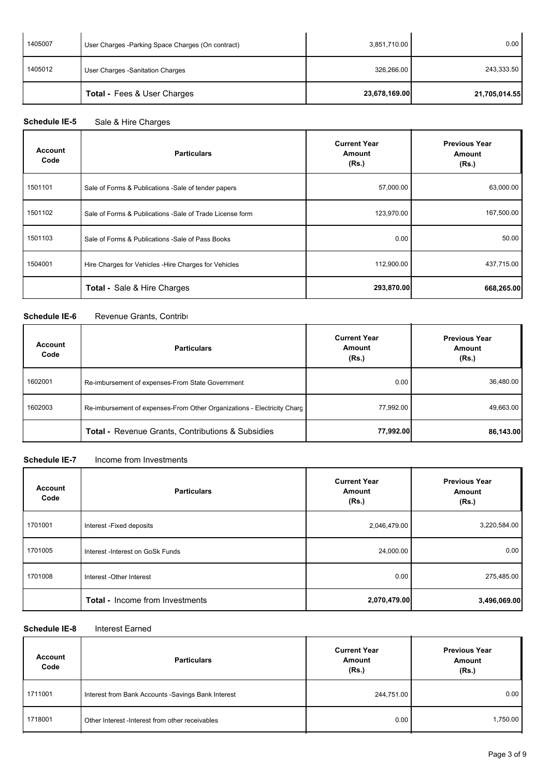| 1405007 | User Charges - Parking Space Charges (On contract) | 3,851,710.00  | 0.00          |
|---------|----------------------------------------------------|---------------|---------------|
| 1405012 | User Charges - Sanitation Charges                  | 326,266.00    | 243,333.50    |
|         | <b>Total - Fees &amp; User Charges</b>             | 23,678,169.00 | 21,705,014.55 |

# Schedule IE-5 Sale & Hire Charges

| Account<br>Code | <b>Particulars</b>                                        | <b>Current Year</b><br><b>Amount</b><br>(Rs.) | <b>Previous Year</b><br>Amount<br>(Rs.) |
|-----------------|-----------------------------------------------------------|-----------------------------------------------|-----------------------------------------|
| 1501101         | Sale of Forms & Publications - Sale of tender papers      | 57,000.00                                     | 63,000.00                               |
| 1501102         | Sale of Forms & Publications - Sale of Trade License form | 123,970.00                                    | 167,500.00                              |
| 1501103         | Sale of Forms & Publications -Sale of Pass Books          | 0.00                                          | 50.00                                   |
| 1504001         | Hire Charges for Vehicles - Hire Charges for Vehicles     | 112,900.00                                    | 437,715.00                              |
|                 | <b>Total - Sale &amp; Hire Charges</b>                    | 293,870.00                                    | 668,265.00                              |

#### **Schedule IE-6** Revenue Grants, Contributions

| <b>Account</b><br>Code | <b>Particulars</b>                                                      | <b>Current Year</b><br>Amount<br>(Rs.) | <b>Previous Year</b><br><b>Amount</b><br>(Rs.) |  |
|------------------------|-------------------------------------------------------------------------|----------------------------------------|------------------------------------------------|--|
| 1602001                | Re-imbursement of expenses-From State Government                        | 0.00                                   | 36,480.00                                      |  |
| 1602003                | Re-imbursement of expenses-From Other Organizations - Electricity Charg | 77,992.00                              | 49,663.00                                      |  |
|                        | <b>Total - Revenue Grants, Contributions &amp; Subsidies</b>            | 77,992.00                              | 86,143.00                                      |  |

#### **Schedule IE-7** Income from Investments

| <b>Account</b><br>Code | <b>Particulars</b>                     | <b>Current Year</b><br>Amount<br>(Rs.) | <b>Previous Year</b><br>Amount<br>(Rs.) |
|------------------------|----------------------------------------|----------------------------------------|-----------------------------------------|
| 1701001                | Interest - Fixed deposits              | 2,046,479.00                           | 3,220,584.00                            |
| 1701005                | Interest - Interest on GoSk Funds      | 24,000.00                              | 0.00                                    |
| 1701008                | Interest - Other Interest              | 0.00                                   | 275,485.00                              |
|                        | <b>Total - Income from Investments</b> | 2,070,479.00                           | 3,496,069.00                            |

#### **Schedule IE-8** Interest Earned

| Account<br>Code | <b>Particulars</b>                                  | <b>Current Year</b><br>Amount<br>(Rs.) | <b>Previous Year</b><br>Amount<br>(Rs.) |
|-----------------|-----------------------------------------------------|----------------------------------------|-----------------------------------------|
| 1711001         | Interest from Bank Accounts - Savings Bank Interest | 244,751.00                             | 0.00                                    |
| 1718001         | Other Interest -Interest from other receivables     | 0.00                                   | 1,750.00                                |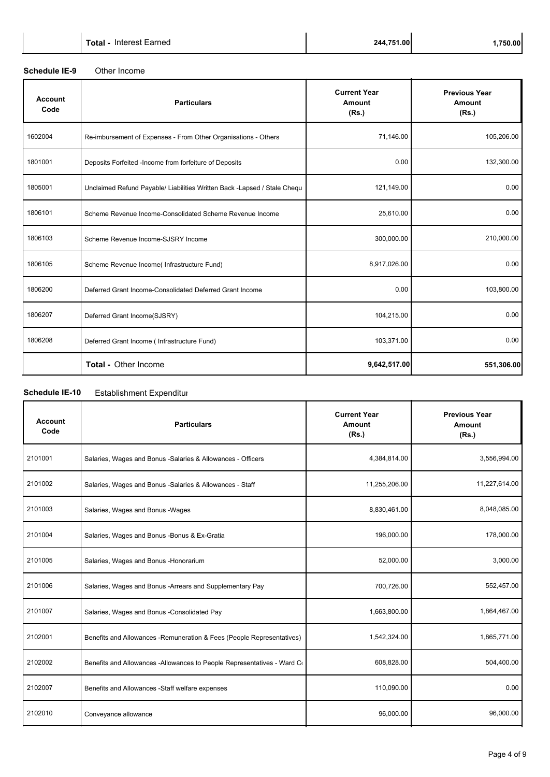#### **Schedule IE-9** Other Income

| <b>Account</b><br>Code | <b>Particulars</b>                                                        | <b>Current Year</b><br>Amount<br>(Rs.) | <b>Previous Year</b><br>Amount<br>(Rs.) |
|------------------------|---------------------------------------------------------------------------|----------------------------------------|-----------------------------------------|
| 1602004                | Re-imbursement of Expenses - From Other Organisations - Others            | 71,146.00                              | 105,206.00                              |
| 1801001                | Deposits Forfeited -Income from forfeiture of Deposits                    | 0.00                                   | 132,300.00                              |
| 1805001                | Unclaimed Refund Payable/ Liabilities Written Back - Lapsed / Stale Chequ | 121,149.00                             | 0.00                                    |
| 1806101                | Scheme Revenue Income-Consolidated Scheme Revenue Income                  | 25,610.00                              | 0.00                                    |
| 1806103                | Scheme Revenue Income-SJSRY Income                                        | 300,000.00                             | 210,000.00                              |
| 1806105                | Scheme Revenue Income(Infrastructure Fund)                                | 8,917,026.00                           | 0.00                                    |
| 1806200                | Deferred Grant Income-Consolidated Deferred Grant Income                  | 0.00                                   | 103,800.00                              |
| 1806207                | Deferred Grant Income(SJSRY)                                              | 104,215.00                             | 0.00                                    |
| 1806208                | Deferred Grant Income ( Infrastructure Fund)                              | 103,371.00                             | 0.00                                    |
|                        | Total - Other Income                                                      | 9,642,517.00                           | 551,306.00                              |

## **Schedule IE-10** Establishment Expenditure

| <b>Account</b><br>Code | <b>Particulars</b>                                                      | <b>Current Year</b><br>Amount<br>(Rs.) | <b>Previous Year</b><br>Amount<br>(Rs.) |
|------------------------|-------------------------------------------------------------------------|----------------------------------------|-----------------------------------------|
| 2101001                | Salaries, Wages and Bonus -Salaries & Allowances - Officers             | 4,384,814.00                           | 3,556,994.00                            |
| 2101002                | Salaries, Wages and Bonus -Salaries & Allowances - Staff                | 11,255,206.00                          | 11,227,614.00                           |
| 2101003                | Salaries, Wages and Bonus - Wages                                       | 8,830,461.00                           | 8,048,085.00                            |
| 2101004                | Salaries, Wages and Bonus - Bonus & Ex-Gratia                           | 196,000.00                             | 178,000.00                              |
| 2101005                | Salaries, Wages and Bonus - Honorarium                                  | 52,000.00                              | 3,000.00                                |
| 2101006                | Salaries, Wages and Bonus - Arrears and Supplementary Pay               | 700,726.00                             | 552,457.00                              |
| 2101007                | Salaries, Wages and Bonus - Consolidated Pay                            | 1,663,800.00                           | 1,864,467.00                            |
| 2102001                | Benefits and Allowances - Remuneration & Fees (People Representatives)  | 1,542,324.00                           | 1,865,771.00                            |
| 2102002                | Benefits and Allowances -Allowances to People Representatives - Ward Co | 608,828.00                             | 504,400.00                              |
| 2102007                | Benefits and Allowances -Staff welfare expenses                         | 110,090.00                             | 0.00                                    |
| 2102010                | Conveyance allowance                                                    | 96,000.00                              | 96,000.00                               |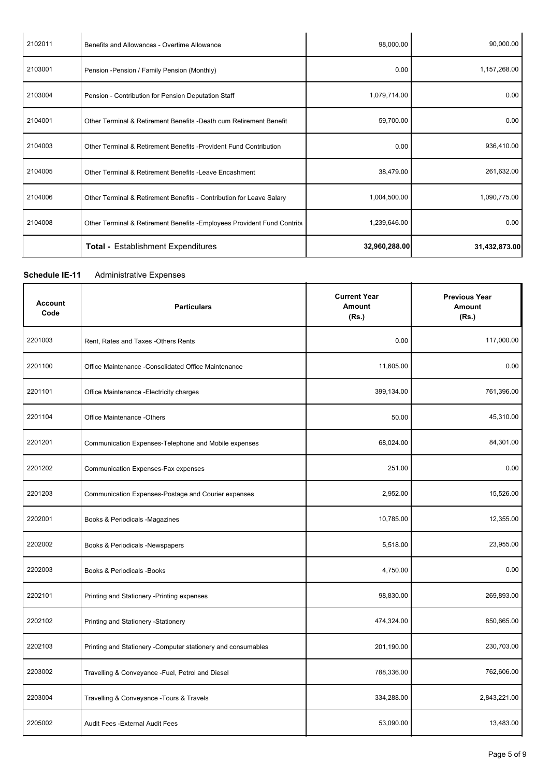| 2102011 | Benefits and Allowances - Overtime Allowance                             | 98,000.00     | 90,000.00     |
|---------|--------------------------------------------------------------------------|---------------|---------------|
| 2103001 | Pension - Pension / Family Pension (Monthly)                             | 0.00          | 1,157,268.00  |
| 2103004 | Pension - Contribution for Pension Deputation Staff                      | 1,079,714.00  | 0.00          |
| 2104001 | Other Terminal & Retirement Benefits -Death cum Retirement Benefit       | 59,700.00     | 0.00          |
| 2104003 | Other Terminal & Retirement Benefits - Provident Fund Contribution       | 0.00          | 936,410.00    |
| 2104005 | Other Terminal & Retirement Benefits - Leave Encashment                  | 38,479.00     | 261,632.00    |
| 2104006 | Other Terminal & Retirement Benefits - Contribution for Leave Salary     | 1,004,500.00  | 1,090,775.00  |
| 2104008 | Other Terminal & Retirement Benefits - Employees Provident Fund Contribu | 1,239,646.00  | 0.00          |
|         | <b>Total - Establishment Expenditures</b>                                | 32,960,288.00 | 31,432,873.00 |

**Current Year Amount**

**Previous Year Amount (Rs.)**

J.

#### **Schedule IE-11** Administrative Expenses

**Particulars Account** 

| Code    | <b>FaillCulais</b>                                   | AIIIvuin<br>(Rs.) | AIIIvuin<br>(Rs.) |
|---------|------------------------------------------------------|-------------------|-------------------|
| 2201003 | Rent, Rates and Taxes -Others Rents                  | 0.00              | 117,000.00        |
| 2201100 | Office Maintenance - Consolidated Office Maintenance | 11,605.00         | 0.00              |
| 2201101 | Office Maintenance - Electricity charges             | 399,134.00        | 761,396.00        |
| 2201104 | Office Maintenance -Others                           | 50.00             | 45,310.00         |
| 2201201 | Communication Expenses-Telephone and Mobile expenses | 68,024.00         | 84,301.00         |
| 2201202 | Communication Expenses-Fax expenses                  | 251.00            | 0.00              |
| 2201203 | Communication Expenses-Postage and Courier expenses  | 2,952.00          | 15,526.00         |
|         |                                                      |                   |                   |

| ZZUTZUT | Communication Expenses-Telephone and Mobile expenses          | <b>08,024.00</b> | 84,301.00    |
|---------|---------------------------------------------------------------|------------------|--------------|
| 2201202 | Communication Expenses-Fax expenses                           | 251.00           | 0.00         |
| 2201203 | Communication Expenses-Postage and Courier expenses           | 2,952.00         | 15,526.00    |
| 2202001 | Books & Periodicals -Magazines                                | 10,785.00        | 12,355.00    |
| 2202002 | Books & Periodicals -Newspapers                               | 5,518.00         | 23,955.00    |
| 2202003 | <b>Books &amp; Periodicals - Books</b>                        | 4,750.00         | 0.00         |
| 2202101 | Printing and Stationery - Printing expenses                   | 98,830.00        | 269,893.00   |
| 2202102 | Printing and Stationery - Stationery                          | 474,324.00       | 850,665.00   |
| 2202103 | Printing and Stationery - Computer stationery and consumables | 201,190.00       | 230,703.00   |
| 2203002 | Travelling & Conveyance - Fuel, Petrol and Diesel             | 788,336.00       | 762,606.00   |
| 2203004 | Travelling & Conveyance - Tours & Travels                     | 334,288.00       | 2,843,221.00 |
| 2205002 | Audit Fees - External Audit Fees                              | 53,090.00        | 13,483.00    |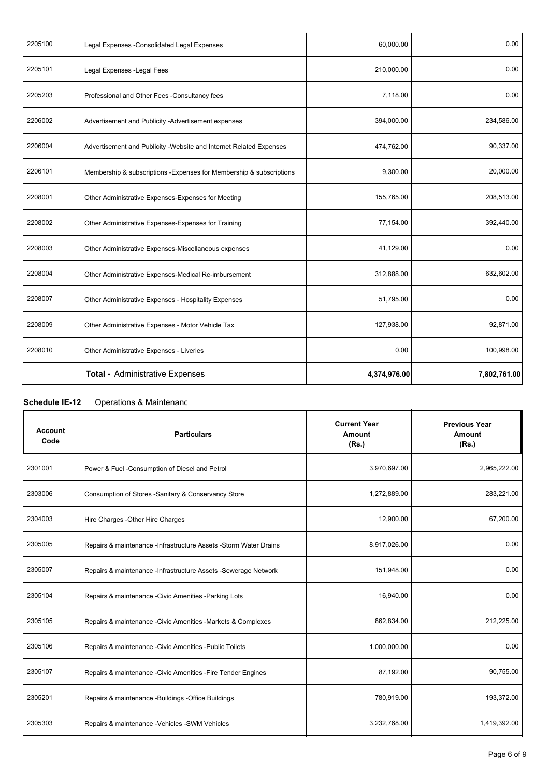| 2205100 | Legal Expenses - Consolidated Legal Expenses                         | 60,000.00    | 0.00         |
|---------|----------------------------------------------------------------------|--------------|--------------|
| 2205101 | Legal Expenses - Legal Fees                                          | 210,000.00   | 0.00         |
| 2205203 | Professional and Other Fees -Consultancy fees                        | 7,118.00     | 0.00         |
| 2206002 | Advertisement and Publicity -Advertisement expenses                  | 394,000.00   | 234,586.00   |
| 2206004 | Advertisement and Publicity - Website and Internet Related Expenses  | 474,762.00   | 90,337.00    |
| 2206101 | Membership & subscriptions - Expenses for Membership & subscriptions | 9,300.00     | 20,000.00    |
| 2208001 | Other Administrative Expenses-Expenses for Meeting                   | 155,765.00   | 208,513.00   |
| 2208002 | Other Administrative Expenses-Expenses for Training                  | 77,154.00    | 392,440.00   |
| 2208003 | Other Administrative Expenses-Miscellaneous expenses                 | 41,129.00    | 0.00         |
| 2208004 | Other Administrative Expenses-Medical Re-imbursement                 | 312,888.00   | 632,602.00   |
| 2208007 | Other Administrative Expenses - Hospitality Expenses                 | 51,795.00    | 0.00         |
| 2208009 | Other Administrative Expenses - Motor Vehicle Tax                    | 127,938.00   | 92,871.00    |
| 2208010 | Other Administrative Expenses - Liveries                             | 0.00         | 100,998.00   |
|         | <b>Total - Administrative Expenses</b>                               | 4,374,976.00 | 7,802,761.00 |

## **Schedule IE-12** Operations & Maintenance

| <b>Account</b><br>Code | <b>Particulars</b>                                               | <b>Current Year</b><br>Amount<br>(Rs.) | <b>Previous Year</b><br>Amount<br>(Rs.) |
|------------------------|------------------------------------------------------------------|----------------------------------------|-----------------------------------------|
| 2301001                | Power & Fuel -Consumption of Diesel and Petrol                   | 3,970,697.00                           | 2,965,222.00                            |
| 2303006                | Consumption of Stores -Sanitary & Conservancy Store              | 1,272,889.00                           | 283,221.00                              |
| 2304003                | Hire Charges - Other Hire Charges                                | 12,900.00                              | 67,200.00                               |
| 2305005                | Repairs & maintenance -Infrastructure Assets -Storm Water Drains | 8,917,026.00                           | 0.00                                    |
| 2305007                | Repairs & maintenance -Infrastructure Assets -Sewerage Network   | 151,948.00                             | 0.00                                    |
| 2305104                | Repairs & maintenance - Civic Amenities - Parking Lots           | 16,940.00                              | 0.00                                    |
| 2305105                | Repairs & maintenance - Civic Amenities - Markets & Complexes    | 862,834.00                             | 212,225.00                              |
| 2305106                | Repairs & maintenance -Civic Amenities -Public Toilets           | 1,000,000.00                           | 0.00                                    |
| 2305107                | Repairs & maintenance - Civic Amenities - Fire Tender Engines    | 87,192.00                              | 90,755.00                               |
| 2305201                | Repairs & maintenance -Buildings -Office Buildings               | 780,919.00                             | 193,372.00                              |
| 2305303                | Repairs & maintenance - Vehicles - SWM Vehicles                  | 3,232,768.00                           | 1,419,392.00                            |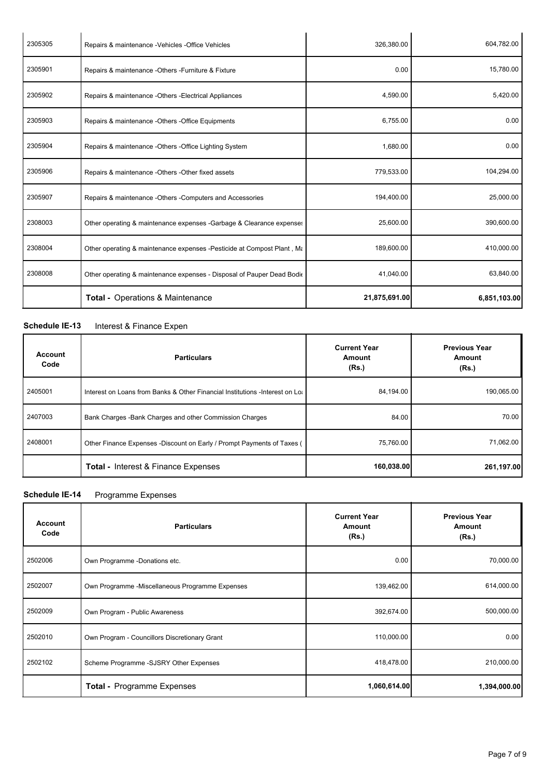| 2305305 | Repairs & maintenance -Vehicles -Office Vehicles                        | 326,380.00    | 604,782.00   |
|---------|-------------------------------------------------------------------------|---------------|--------------|
| 2305901 | Repairs & maintenance -Others -Furniture & Fixture                      | 0.00          | 15,780.00    |
| 2305902 | Repairs & maintenance -Others -Electrical Appliances                    | 4,590.00      | 5,420.00     |
| 2305903 | Repairs & maintenance -Others -Office Equipments                        | 6,755.00      | 0.00         |
| 2305904 | Repairs & maintenance -Others -Office Lighting System                   | 1,680.00      | 0.00         |
| 2305906 | Repairs & maintenance -Others -Other fixed assets                       | 779,533.00    | 104,294.00   |
| 2305907 | Repairs & maintenance -Others -Computers and Accessories                | 194,400.00    | 25,000.00    |
| 2308003 | Other operating & maintenance expenses -Garbage & Clearance expenses    | 25,600.00     | 390,600.00   |
| 2308004 | Other operating & maintenance expenses - Pesticide at Compost Plant, Ma | 189,600.00    | 410,000.00   |
| 2308008 | Other operating & maintenance expenses - Disposal of Pauper Dead Bodie  | 41,040.00     | 63,840.00    |
|         | <b>Total - Operations &amp; Maintenance</b>                             | 21,875,691.00 | 6,851,103.00 |

## **Schedule IE-13** Interest & Finance Expen

| Account<br>Code | <b>Particulars</b>                                                             | <b>Current Year</b><br>Amount<br>(Rs.) | <b>Previous Year</b><br><b>Amount</b><br>(Rs.) |
|-----------------|--------------------------------------------------------------------------------|----------------------------------------|------------------------------------------------|
| 2405001         | Interest on Loans from Banks & Other Financial Institutions - Interest on Loan | 84,194.00                              | 190,065.00                                     |
| 2407003         | Bank Charges - Bank Charges and other Commission Charges                       | 84.00                                  | 70.00                                          |
| 2408001         | Other Finance Expenses -Discount on Early / Prompt Payments of Taxes (         | 75,760.00                              | 71,062.00                                      |
|                 | <b>Total - Interest &amp; Finance Expenses</b>                                 | 160,038.00                             | 261,197.00                                     |

## **Schedule IE-14** Programme Expenses

| <b>Account</b><br>Code | <b>Particulars</b>                              | <b>Current Year</b><br>Amount<br>(Rs.) | <b>Previous Year</b><br><b>Amount</b><br>(Rs.) |
|------------------------|-------------------------------------------------|----------------------------------------|------------------------------------------------|
| 2502006                | Own Programme -Donations etc.                   | 0.00                                   | 70,000.00                                      |
| 2502007                | Own Programme -Miscellaneous Programme Expenses | 139,462.00                             | 614,000.00                                     |
| 2502009                | Own Program - Public Awareness                  | 392,674.00                             | 500,000.00                                     |
| 2502010                | Own Program - Councillors Discretionary Grant   | 110,000.00                             | 0.00                                           |
| 2502102                | Scheme Programme -SJSRY Other Expenses          | 418,478.00                             | 210,000.00                                     |
|                        | Total - Programme Expenses                      | 1,060,614.00                           | 1,394,000.00                                   |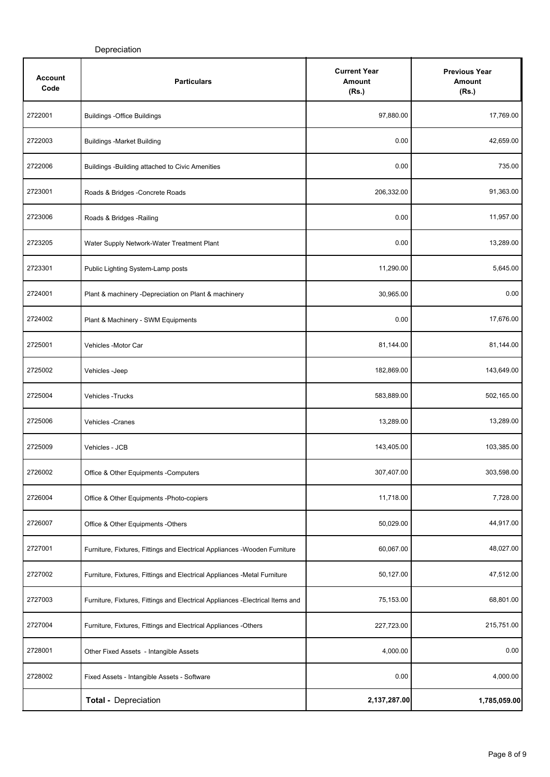| <b>Account</b><br>Code | <b>Particulars</b>                                                             | <b>Current Year</b><br>Amount<br>(Rs.) | <b>Previous Year</b><br>Amount<br>(Rs.) |
|------------------------|--------------------------------------------------------------------------------|----------------------------------------|-----------------------------------------|
| 2722001                | <b>Buildings -Office Buildings</b>                                             | 97,880.00                              | 17,769.00                               |
| 2722003                | <b>Buildings -Market Building</b>                                              | 0.00                                   | 42,659.00                               |
| 2722006                | Buildings -Building attached to Civic Amenities                                | 0.00                                   | 735.00                                  |
| 2723001                | Roads & Bridges -Concrete Roads                                                | 206,332.00                             | 91,363.00                               |
| 2723006                | Roads & Bridges - Railing                                                      | 0.00                                   | 11,957.00                               |
| 2723205                | Water Supply Network-Water Treatment Plant                                     | 0.00                                   | 13,289.00                               |
| 2723301                | Public Lighting System-Lamp posts                                              | 11,290.00                              | 5,645.00                                |
| 2724001                | Plant & machinery -Depreciation on Plant & machinery                           | 30,965.00                              | 0.00                                    |
| 2724002                | Plant & Machinery - SWM Equipments                                             | 0.00                                   | 17,676.00                               |
| 2725001                | Vehicles -Motor Car                                                            | 81,144.00                              | 81,144.00                               |
| 2725002                | Vehicles - Jeep                                                                | 182,869.00                             | 143,649.00                              |
| 2725004                | <b>Vehicles - Trucks</b>                                                       | 583,889.00                             | 502,165.00                              |
| 2725006                | Vehicles - Cranes                                                              | 13,289.00                              | 13,289.00                               |
| 2725009                | Vehicles - JCB                                                                 | 143,405.00                             | 103,385.00                              |
| 2726002                | Office & Other Equipments - Computers                                          | 307,407.00                             | 303,598.00                              |
| 2726004                | Office & Other Equipments -Photo-copiers                                       | 11,718.00                              | 7,728.00                                |
| 2726007                | Office & Other Equipments -Others                                              | 50,029.00                              | 44,917.00                               |
| 2727001                | Furniture, Fixtures, Fittings and Electrical Appliances -Wooden Furniture      | 60,067.00                              | 48,027.00                               |
| 2727002                | Furniture, Fixtures, Fittings and Electrical Appliances -Metal Furniture       | 50,127.00                              | 47,512.00                               |
| 2727003                | Furniture, Fixtures, Fittings and Electrical Appliances - Electrical Items and | 75,153.00                              | 68,801.00                               |
| 2727004                | Furniture, Fixtures, Fittings and Electrical Appliances -Others                | 227,723.00                             | 215,751.00                              |
| 2728001                | Other Fixed Assets - Intangible Assets                                         | 4,000.00                               | 0.00                                    |
| 2728002                | Fixed Assets - Intangible Assets - Software                                    | 0.00                                   | 4,000.00                                |
|                        | <b>Total - Depreciation</b>                                                    | 2,137,287.00                           | 1,785,059.00                            |